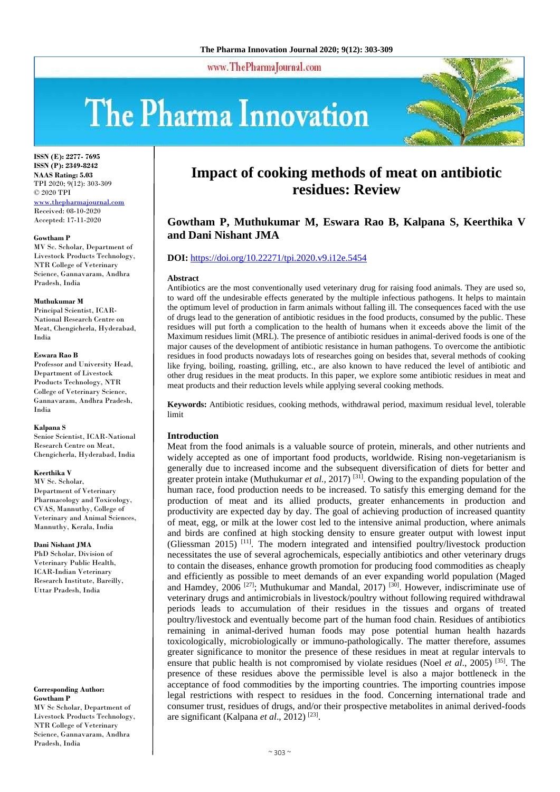www.ThePharmaJournal.com

# The Pharma Innovation



**ISSN (E): 2277- 7695 ISSN (P): 2349-8242 NAAS Rating: 5.03** TPI 2020; 9(12): 303-309 © 2020 TPI <www.thepharmajournal.com> Received: 08-10-2020 Accepted: 17-11-2020

#### **Gowtham P**

MV Sc. Scholar, Department of Livestock Products Technology, NTR College of Veterinary Science, Gannavaram, Andhra Pradesh, India

#### **Muthukumar M**

Principal Scientist, ICAR-National Research Centre on Meat, Chengicherla, Hyderabad, India

#### **Eswara Rao B**

Professor and University Head, Department of Livestock Products Technology, NTR College of Veterinary Science, Gannavaram, Andhra Pradesh, India

#### **Kalpana S**

Senior Scientist, ICAR-National Research Centre on Meat, Chengicherla, Hyderabad, India

#### **Keerthika V**

MV Sc. Scholar, Department of Veterinary Pharmacology and Toxicology, CVAS, Mannuthy, College of Veterinary and Animal Sciences, Mannuthy, Kerala, India

#### **Dani Nishant JMA**

PhD Scholar, Division of Veterinary Public Health, ICAR-Indian Veterinary Research Institute, Bareilly, Uttar Pradesh, India

#### **Corresponding Author: Gowtham P**

MV Sc Scholar, Department of Livestock Products Technology, NTR College of Veterinary Science, Gannavaram, Andhra Pradesh, India

# **Impact of cooking methods of meat on antibiotic residues: Review**

# **Gowtham P, Muthukumar M, Eswara Rao B, Kalpana S, Keerthika V and Dani Nishant JMA**

# **DOI:** <https://doi.org/10.22271/tpi.2020.v9.i12e.5454>

#### **Abstract**

Antibiotics are the most conventionally used veterinary drug for raising food animals. They are used so, to ward off the undesirable effects generated by the multiple infectious pathogens. It helps to maintain the optimum level of production in farm animals without falling ill. The consequences faced with the use of drugs lead to the generation of antibiotic residues in the food products, consumed by the public. These residues will put forth a complication to the health of humans when it exceeds above the limit of the Maximum residues limit (MRL). The presence of antibiotic residues in animal-derived foods is one of the major causes of the development of antibiotic resistance in human pathogens. To overcome the antibiotic residues in food products nowadays lots of researches going on besides that, several methods of cooking like frying, boiling, roasting, grilling, etc., are also known to have reduced the level of antibiotic and other drug residues in the meat products. In this paper, we explore some antibiotic residues in meat and meat products and their reduction levels while applying several cooking methods.

**Keywords:** Antibiotic residues, cooking methods, withdrawal period, maximum residual level, tolerable limit

# **Introduction**

Meat from the food animals is a valuable source of protein, minerals, and other nutrients and widely accepted as one of important food products, worldwide. Rising non-vegetarianism is generally due to increased income and the subsequent diversification of diets for better and greater protein intake (Muthukumar *et al.,* 2017) [31] . Owing to the expanding population of the human race, food production needs to be increased. To satisfy this emerging demand for the production of meat and its allied products, greater enhancements in production and productivity are expected day by day. The goal of achieving production of increased quantity of meat, egg, or milk at the lower cost led to the intensive animal production, where animals and birds are confined at high stocking density to ensure greater output with lowest input (Gliessman 2015) [11]. The modern integrated and intensified poultry/livestock production necessitates the use of several agrochemicals, especially antibiotics and other veterinary drugs to contain the diseases, enhance growth promotion for producing food commodities as cheaply and efficiently as possible to meet demands of an ever expanding world population (Maged and Hamdey,  $2006$ <sup>[27]</sup>; Muthukumar and Mandal,  $2017$ <sup>[30]</sup>. However, indiscriminate use of veterinary drugs and antimicrobials in livestock/poultry without following required withdrawal periods leads to accumulation of their residues in the tissues and organs of treated poultry/livestock and eventually become part of the human food chain. Residues of antibiotics remaining in animal-derived human foods may pose potential human health hazards toxicologically, microbiologically or immuno-pathologically. The matter therefore, assumes greater significance to monitor the presence of these residues in meat at regular intervals to ensure that public health is not compromised by violate residues (Noel *et al*., 2005) [35]. The presence of these residues above the permissible level is also a major bottleneck in the acceptance of food commodities by the importing countries. The importing countries impose legal restrictions with respect to residues in the food. Concerning international trade and consumer trust, residues of drugs, and/or their prospective metabolites in animal derived-foods are significant (Kalpana et al., 2012)<sup>[23]</sup>.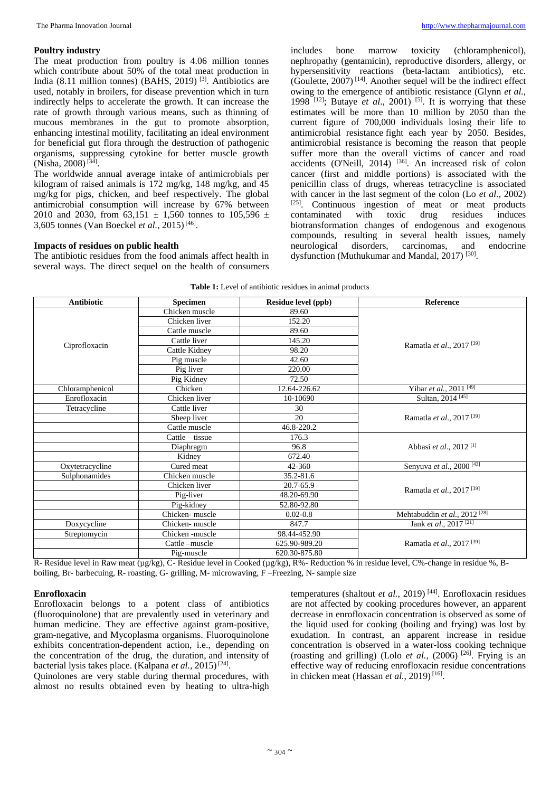#### **Poultry industry**

The meat production from poultry is 4.06 million tonnes which contribute about 50% of the total meat production in India (8.11 million tonnes) (BAHS, 2019) [3]. Antibiotics are used, notably in broilers, for disease prevention which in turn indirectly helps to accelerate the growth. It can increase the rate of growth through various means, such as thinning of mucous membranes in the gut to promote absorption, enhancing intestinal motility, facilitating an ideal environment for beneficial gut flora through the destruction of pathogenic organisms, suppressing cytokine for better muscle growth (Nisha, 2008)<sup>[34]</sup>.

The worldwide annual average intake of antimicrobials per kilogram of raised animals is 172 mg/kg, 148 mg/kg, and 45 mg/kg for pigs, chicken, and beef respectively. The global antimicrobial consumption will increase by 67% between 2010 and 2030, from 63,151  $\pm$  1,560 tonnes to 105,596  $\pm$ 3,605 tonnes (Van Boeckel *et al.*, 2015)<sup>[46]</sup>.

# **Impacts of residues on public health**

The antibiotic residues from the food animals affect health in several ways. The direct sequel on the health of consumers

includes bone marrow toxicity (chloramphenicol), nephropathy (gentamicin), reproductive disorders, allergy, or hypersensitivity reactions (beta-lactam antibiotics), etc.  $(Goulette, 2007)^{[14]}$ . Another sequel will be the indirect effect owing to the emergence of antibiotic resistance (Glynn *et al.,* 1998<sup> $\text{[12]}$ </sup>; Butaye *et al.*, 2001)<sup>[5]</sup>. It is worrying that these estimates will be more than 10 million by 2050 than the current figure of 700,000 individuals losing their life to antimicrobial resistance fight each year by 2050. Besides, antimicrobial resistance is becoming the reason that people suffer more than the overall victims of cancer and road accidents (O'Neill, 2014)  $[36]$ . An increased risk of colon cancer (first and middle portions) is associated with the penicillin class of drugs, whereas tetracycline is associated with cancer in the last segment of the colon (Lo *et al*., 2002) [25] . Continuous ingestion of meat or meat products contaminated with toxic drug residues induces biotransformation changes of endogenous and exogenous compounds, resulting in several health issues, namely neurological disorders, carcinomas, and endocrine dysfunction (Muthukumar and Mandal, 2017)<sup>[30]</sup>.

| <b>Antibiotic</b> | <b>Specimen</b> | <b>Residue level (ppb)</b> | Reference                                |  |  |
|-------------------|-----------------|----------------------------|------------------------------------------|--|--|
|                   | Chicken muscle  | 89.60                      |                                          |  |  |
|                   | Chicken liver   | 152.20                     |                                          |  |  |
|                   | Cattle muscle   | 89.60                      |                                          |  |  |
|                   | Cattle liver    | 145.20                     | Ramatla et al., 2017 <sup>[39]</sup>     |  |  |
| Ciprofloxacin     | Cattle Kidney   | 98.20                      |                                          |  |  |
|                   | Pig muscle      | 42.60                      |                                          |  |  |
|                   | Pig liver       | 220.00                     |                                          |  |  |
|                   | Pig Kidney      | 72.50                      |                                          |  |  |
| Chloramphenicol   | Chicken         | 12.64-226.62               | Yibar et al., 2011 <sup>[49]</sup>       |  |  |
| Enrofloxacin      | Chicken liver   | 10-10690                   | Sultan, 2014 <sup>[45]</sup>             |  |  |
| Tetracycline      | Cattle liver    | 30                         |                                          |  |  |
|                   | Sheep liver     | 20                         | Ramatla et al., 2017 <sup>[39]</sup>     |  |  |
|                   | Cattle muscle   | 46.8-220.2                 |                                          |  |  |
|                   | Cattle – tissue | 176.3                      |                                          |  |  |
|                   | Diaphragm       | 96.8                       | Abbasi et al., 2012 <sup>[1]</sup>       |  |  |
|                   | Kidney          | 672.40                     |                                          |  |  |
| Oxytetracycline   | Cured meat      | 42-360                     | Senyuva et al., 2000 <sup>[43]</sup>     |  |  |
| Sulphonamides     | Chicken muscle  | 35.2-81.6                  |                                          |  |  |
|                   | Chicken liver   | 20.7-65.9                  |                                          |  |  |
|                   | Pig-liver       | 48.20-69.90                | Ramatla et al., 2017 <sup>[39]</sup>     |  |  |
|                   | Pig-kidney      | 52.80-92.80                |                                          |  |  |
|                   | Chicken-muscle  | $0.02 - 0.8$               | Mehtabuddin et al., 2012 <sup>[28]</sup> |  |  |
| Doxycycline       | Chicken-muscle  | 847.7                      | Jank et al., 2017 <sup>[21]</sup>        |  |  |
| Streptomycin      | Chicken-muscle  | 98.44-452.90               |                                          |  |  |
|                   | Cattle-muscle   | 625.90-989.20              | Ramatla et al., 2017 <sup>[39]</sup>     |  |  |
|                   | Pig-muscle      | 620.30-875.80              |                                          |  |  |

**Table 1:** Level of antibiotic residues in animal products

R- Residue level in Raw meat (µg/kg), C- Residue level in Cooked (µg/kg), R%- Reduction % in residue level, C%-change in residue %, Bboiling, Br- barbecuing, R- roasting, G- grilling, M- microwaving, F –Freezing, N- sample size

#### **Enrofloxacin**

Enrofloxacin belongs to a potent class of antibiotics (fluoroquinolone) that are prevalently used in veterinary and human medicine. They are effective against gram-positive, gram-negative, and Mycoplasma organisms. Fluoroquinolone exhibits concentration-dependent action, i.e., depending on the concentration of the drug, the duration, and intensity of bacterial lysis takes place. (Kalpana *et al.*, 2015)<sup>[24]</sup>.

Quinolones are very stable during thermal procedures, with almost no results obtained even by heating to ultra-high

temperatures (shaltout *et al.,* 2019) [44]. Enrofloxacin residues are not affected by cooking procedures however, an apparent decrease in enrofloxacin concentration is observed as some of the liquid used for cooking (boiling and frying) was lost by exudation. In contrast, an apparent increase in residue concentration is observed in a water-loss cooking technique (roasting and grilling) (Lolo *et al.*,  $(2006)$ <sup>[26]</sup>. Frying is an effective way of reducing enrofloxacin residue concentrations in chicken meat (Hassan et al., 2019)<sup>[16]</sup>.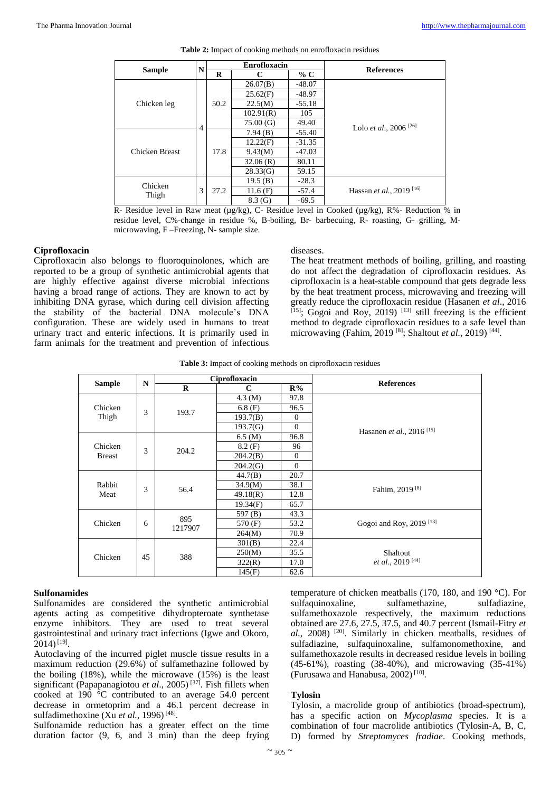|                |   | <b>Enrofloxacin</b> |           |          |                                     |
|----------------|---|---------------------|-----------|----------|-------------------------------------|
| <b>Sample</b>  | N | R                   | C         | % C      | <b>References</b>                   |
|                |   |                     | 26.07(B)  | $-48.07$ |                                     |
|                |   |                     | 25.62(F)  | $-48.97$ |                                     |
| Chicken leg    |   | 50.2                | 22.5(M)   | $-55.18$ |                                     |
|                |   |                     | 102.91(R) | 105      |                                     |
|                | 4 |                     | 75.00(G)  | 49.40    | Lolo et al., 2006 <sup>[26]</sup>   |
|                |   |                     | 7.94(B)   | $-55.40$ |                                     |
|                |   |                     | 12.22(F)  | $-31.35$ |                                     |
| Chicken Breast |   | 17.8                | 9.43(M)   | $-47.03$ |                                     |
|                |   |                     | 32.06(R)  | 80.11    |                                     |
|                |   |                     | 28.33(G)  | 59.15    |                                     |
| Chicken        |   |                     | 19.5(B)   | $-28.3$  |                                     |
| Thigh          | 3 | 27.2                | 11.6(F)   | $-57.4$  | Hassan et al., 2019 <sup>[16]</sup> |
|                |   |                     | 8.3(G)    | $-69.5$  |                                     |

|  | <b>Table 2:</b> Impact of cooking methods on enrofloxacin residues |  |  |  |  |  |
|--|--------------------------------------------------------------------|--|--|--|--|--|
|--|--------------------------------------------------------------------|--|--|--|--|--|

R- Residue level in Raw meat (µg/kg), C- Residue level in Cooked (µg/kg), R%- Reduction % in residue level, C%-change in residue %, B-boiling, Br- barbecuing, R- roasting, G- grilling, Mmicrowaving, F –Freezing, N- sample size.

#### **Ciprofloxacin**

Ciprofloxacin also belongs to fluoroquinolones, which are reported to be a group of synthetic antimicrobial agents that are highly effective against diverse microbial infections having a broad range of actions. They are known to act by inhibiting DNA gyrase, which during cell division affecting the stability of the bacterial DNA molecule's DNA configuration. These are widely used in humans to treat urinary tract and enteric infections. It is primarily used in farm animals for the treatment and prevention of infectious

#### diseases.

The heat treatment methods of boiling, grilling, and roasting do not affect the degradation of ciprofloxacin residues. As ciprofloxacin is a heat-stable compound that gets degrade less by the heat treatment process, microwaving and freezing will greatly reduce the ciprofloxacin residue (Hasanen *et al*., 2016  $[15]$ ; Gogoi and Roy, 2019)  $[13]$  still freezing is the efficient method to degrade ciprofloxacin residues to a safe level than microwaving (Fahim, 2019<sup>[8]</sup>; Shaltout *et al.*, 2019)<sup>[44]</sup>.

**Table 3:** Impact of cooking methods on ciprofloxacin residues

|               |    |                | Ciprofloxacin       |          |                                              |
|---------------|----|----------------|---------------------|----------|----------------------------------------------|
| <b>Sample</b> | N  | $\mathbf R$    | C                   | R%       | <b>References</b>                            |
|               |    |                | $4.3 \, (\text{M})$ | 97.8     |                                              |
| Chicken       | 3  | 193.7          | 6.8(F)              | 96.5     |                                              |
| Thigh         |    |                | 193.7(B)            | $\theta$ |                                              |
|               |    |                | 193.7(G)            | $\theta$ | Hasanen <i>et al.</i> , 2016 <sup>[15]</sup> |
|               |    |                | $6.5 \, (\text{M})$ | 96.8     |                                              |
| Chicken       | 3  | 204.2          | 8.2(F)              | 96       |                                              |
| <b>Breast</b> |    |                | 204.2(B)            | $\Omega$ |                                              |
|               |    |                | 204.2(G)            | $\theta$ |                                              |
|               |    |                | 44.7(B)             | 20.7     |                                              |
| Rabbit        | 3  | 56.4           | 34.9(M)             | 38.1     |                                              |
| Meat          |    |                | 49.18(R)            | 12.8     | Fahim, 2019 <sup>[8]</sup>                   |
|               |    |                | 19.34(F)            | 65.7     |                                              |
|               |    |                | 597 (B)             | 43.3     |                                              |
| Chicken       | 6  | 895<br>1217907 | 570 (F)             | 53.2     | Gogoi and Roy, 2019 <sup>[13]</sup>          |
|               |    |                | 264(M)              | 70.9     |                                              |
|               |    |                | 301(B)              | 22.4     |                                              |
| Chicken       | 45 | 388            | 250(M)              | 35.5     | Shaltout                                     |
|               |    |                | 322(R)              | 17.0     | <i>et al.</i> , 2019 <sup>[44]</sup>         |
|               |    |                | 145(F)              | 62.6     |                                              |

#### **Sulfonamides**

Sulfonamides are considered the synthetic antimicrobial agents acting as competitive dihydropteroate synthetase enzyme inhibitors. They are used to treat several gastrointestinal and urinary tract infections (Igwe and Okoro,  $2014)$ <sup>[19]</sup>.

Autoclaving of the incurred piglet muscle tissue results in a maximum reduction (29.6%) of sulfamethazine followed by the boiling (18%), while the microwave (15%) is the least significant (Papapanagiotou *et al*., 2005) [37]. Fish fillets when cooked at 190 °C contributed to an average 54.0 percent decrease in ormetoprim and a 46.1 percent decrease in sulfadimethoxine (Xu et al., 1996)<sup>[48]</sup>.

Sulfonamide reduction has a greater effect on the time duration factor (9, 6, and 3 min) than the deep frying

temperature of chicken meatballs (170, 180, and 190 °C). For sulfaquinoxaline, sulfamethazine, sulfadiazine, sulfamethoxazole respectively, the maximum reductions obtained are 27.6, 27.5, 37.5, and 40.7 percent (Ismail-Fitry *et al.,* 2008) [20]. Similarly in chicken meatballs, residues of sulfadiazine, sulfaquinoxaline, sulfamonomethoxine, and sulfamethoxazole results in decreased residue levels in boiling (45-61%), roasting (38-40%), and microwaving (35-41%) (Furusawa and Hanabusa, 2002)<sup>[10]</sup>.

# **Tylosin**

Tylosin, a macrolide group of antibiotics (broad-spectrum), has a specific action on *Mycoplasma* species. It is a combination of four macrolide antibiotics (Tylosin-A, B, C, D) formed by *Streptomyces fradiae*. Cooking methods,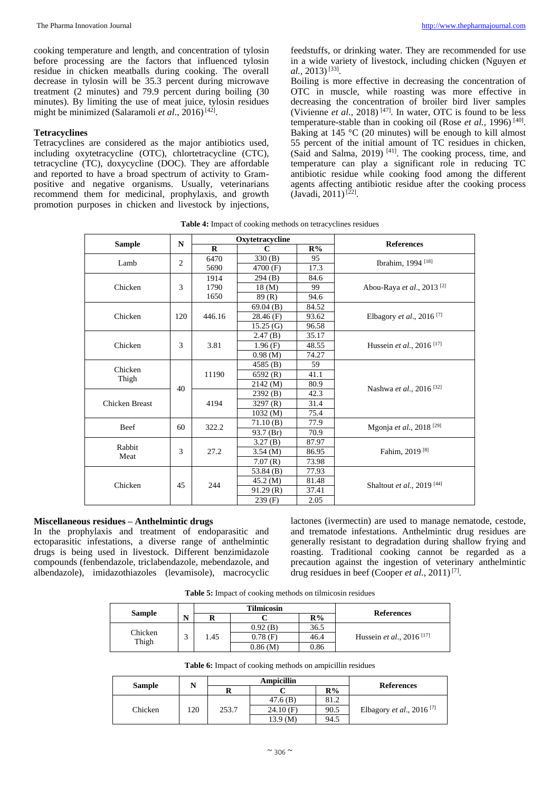cooking temperature and length, and concentration of tylosin before processing are the factors that influenced tylosin residue in chicken meatballs during cooking. The overall decrease in tylosin will be 35.3 percent during microwave treatment (2 minutes) and 79.9 percent during boiling (30 minutes). By limiting the use of meat juice, tylosin residues might be minimized (Salaramoli *et al.*, 2016)<sup>[42]</sup>.

# **Tetracyclines**

Tetracyclines are considered as the major antibiotics used, including oxytetracycline (OTC), chlortetracycline (CTC), tetracycline (TC), doxycycline (DOC). They are affordable and reported to have a broad spectrum of activity to Grampositive and negative organisms. Usually, veterinarians recommend them for medicinal, prophylaxis, and growth promotion purposes in chicken and livestock by injections, feedstuffs, or drinking water. They are recommended for use in a wide variety of livestock, including chicken (Nguyen *et al.*, 2013)<sup>[33]</sup>.

Boiling is more effective in decreasing the concentration of OTC in muscle, while roasting was more effective in decreasing the concentration of broiler bird liver samples (Vivienne *et al.*, 2018) <sup>[47]</sup>. In water, OTC is found to be less temperature-stable than in cooking oil (Rose et al., 1996)<sup>[40]</sup>. Baking at 145 °C (20 minutes) will be enough to kill almost 55 percent of the initial amount of TC residues in chicken,  $($ Said and Salma,  $2019)$ <sup>[41]</sup>. The cooking process, time, and temperature can play a significant role in reducing TC antibiotic residue while cooking food among the different agents affecting antibiotic residue after the cooking process  $(Javadi, 2011)^{[22]}$ .

**Table 4:** Impact of cooking methods on tetracyclines residues

|                       | N              |             | Oxytetracycline |       | <b>References</b>                     |       |                                              |
|-----------------------|----------------|-------------|-----------------|-------|---------------------------------------|-------|----------------------------------------------|
| <b>Sample</b>         |                | $\mathbf R$ | $\mathbf C$     | R%    |                                       |       |                                              |
| Lamb                  | $\overline{c}$ | 6470        | 330(B)          | 95    | Ibrahim, 1994 <sup>[18]</sup>         |       |                                              |
|                       |                | 5690        | 4700 (F)        | 17.3  |                                       |       |                                              |
|                       |                | 1914        | 294(B)          | 84.6  |                                       |       |                                              |
| Chicken               | 3              | 1790        | 18(M)           | 99    | Abou-Raya et al., 2013 <sup>[2]</sup> |       |                                              |
|                       |                | 1650        | 89 (R)          | 94.6  |                                       |       |                                              |
|                       |                |             | 69.04(B)        | 84.52 |                                       |       |                                              |
| Chicken               | 120            | 446.16      | 28.46(F)        | 93.62 | Elbagory et al., 2016 <sup>[7]</sup>  |       |                                              |
|                       |                |             | 15.25(G)        | 96.58 |                                       |       |                                              |
|                       |                |             | 2.47(B)         | 35.17 |                                       |       |                                              |
| Chicken               | 3              |             |                 | 3.81  | 1.96(F)                               | 48.55 | Hussein <i>et al.</i> , 2016 <sup>[17]</sup> |
|                       |                |             | 0.98(M)         | 74.27 |                                       |       |                                              |
| Chicken               |                |             | 4585(B)         | 59    |                                       |       |                                              |
| Thigh                 |                | 11190       | 6592(R)         | 41.1  |                                       |       |                                              |
|                       | 40             |             | 2142(M)         | 80.9  | Nashwa et al., 2016 <sup>[32]</sup>   |       |                                              |
|                       |                |             | 2392(B)         | 42.3  |                                       |       |                                              |
| <b>Chicken Breast</b> |                | 4194        | 3297 $(R)$      | 31.4  |                                       |       |                                              |
|                       |                |             | 1032(M)         | 75.4  |                                       |       |                                              |
| Beef                  | 60             | 322.2       | 71.10(B)        | 77.9  | Mgonja et al., 2018 <sup>[29]</sup>   |       |                                              |
|                       |                |             | 93.7 (Br)       | 70.9  |                                       |       |                                              |
| Rabbit                |                |             | 3.27(B)         | 87.97 |                                       |       |                                              |
| Meat                  | 3              | 27.2        | 3.54(M)         | 86.95 | Fahim, 2019 <sup>[8]</sup>            |       |                                              |
|                       |                |             | 7.07(R)         | 73.98 |                                       |       |                                              |
|                       |                |             | 53.84 $(B)$     | 77.93 |                                       |       |                                              |
| Chicken               | 45             | 244         | 45.2(M)         | 81.48 |                                       |       |                                              |
|                       |                |             | 91.29(R)        | 37.41 | Shaltout et al., 2019 <sup>[44]</sup> |       |                                              |
|                       |                |             | 239(F)          | 2.05  |                                       |       |                                              |

# **Miscellaneous residues – Anthelmintic drugs**

In the prophylaxis and treatment of endoparasitic and ectoparasitic infestations, a diverse range of anthelmintic drugs is being used in livestock. Different benzimidazole compounds (fenbendazole, triclabendazole, mebendazole, and albendazole), imidazothiazoles (levamisole), macrocyclic lactones (ivermectin) are used to manage nematode, cestode, and trematode infestations. Anthelmintic drug residues are generally resistant to degradation during shallow frying and roasting. Traditional cooking cannot be regarded as a precaution against the ingestion of veterinary anthelmintic drug residues in beef (Cooper *et al.*, 2011)<sup>[7]</sup>.

**Table 5:** Impact of cooking methods on tilmicosin residues

|               |   | <b>Tilmicosin</b> |            |       |                                              |
|---------------|---|-------------------|------------|-------|----------------------------------------------|
| <b>Sample</b> | N | R                 |            | $R\%$ | <b>References</b>                            |
| Chicken       |   |                   | $0.92$ (B) | 36.5  |                                              |
| Thigh         | ◠ | 1.45              | $0.78$ (F) | 46.4  | Hussein <i>et al.</i> , 2016 <sup>[17]</sup> |
|               |   |                   | 0.86(M)    | 0.86  |                                              |

|  |  | Table 6: Impact of cooking methods on ampicillin residues |
|--|--|-----------------------------------------------------------|
|--|--|-----------------------------------------------------------|

|               | N   |       | Ampicillin |      |                                      |  |
|---------------|-----|-------|------------|------|--------------------------------------|--|
| <b>Sample</b> |     |       | R%         |      | <b>References</b>                    |  |
|               |     |       | 47.6(B)    | 81.2 |                                      |  |
| Chicken       | 120 | 253.7 | 24.10(F)   | 90.5 | Elbagory et al., 2016 <sup>[7]</sup> |  |
|               |     |       | 13.9 (M)   | 94.5 |                                      |  |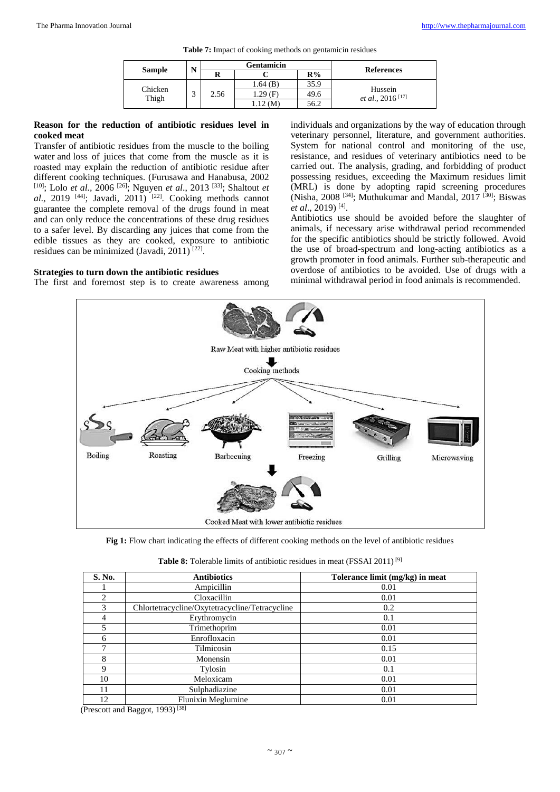|  | Table 7: Impact of cooking methods on gentamicin residues |  |  |  |
|--|-----------------------------------------------------------|--|--|--|
|--|-----------------------------------------------------------|--|--|--|

|               | <b>Gentamicin</b><br>N |      |            |      |                                                 |
|---------------|------------------------|------|------------|------|-------------------------------------------------|
| <b>Sample</b> |                        | R    |            | R%   | <b>References</b>                               |
| Chicken       |                        |      | 1.64 (B)   | 35.9 |                                                 |
| Thigh         |                        | 2.56 | $1.29$ (F) | 49.6 | Hussein<br><i>et al.</i> , 2016 <sup>[17]</sup> |
|               |                        |      | (M)        | 56.2 |                                                 |

# **Reason for the reduction of antibiotic residues level in cooked meat**

Transfer of antibiotic residues from the muscle to the boiling water and loss of juices that come from the muscle as it is roasted may explain the reduction of antibiotic residue after different cooking techniques. (Furusawa and Hanabusa, 2002 [10]; Lolo *et al.,* 2006 [26]; Nguyen *et al*., 2013 [33]; Shaltout *et*  al., 2019 <sup>[44]</sup>; Javadi, 2011) <sup>[22]</sup>. Cooking methods cannot guarantee the complete removal of the drugs found in meat and can only reduce the concentrations of these drug residues to a safer level. By discarding any juices that come from the edible tissues as they are cooked, exposure to antibiotic residues can be minimized (Javadi, 2011)<sup>[22]</sup>.

# **Strategies to turn down the antibiotic residues**

The first and foremost step is to create awareness among

individuals and organizations by the way of education through veterinary personnel, literature, and government authorities. System for national control and monitoring of the use, resistance, and residues of veterinary antibiotics need to be carried out. The analysis, grading, and forbidding of product possessing residues, exceeding the Maximum residues limit (MRL) is done by adopting rapid screening procedures (Nisha, 2008 [34]; Muthukumar and Mandal, 2017 [30]; Biswas et al., 2019)<sup>[4]</sup>.

Antibiotics use should be avoided before the slaughter of animals, if necessary arise withdrawal period recommended for the specific antibiotics should be strictly followed. Avoid the use of broad-spectrum and long-acting antibiotics as a growth promoter in food animals. Further sub-therapeutic and overdose of antibiotics to be avoided. Use of drugs with a minimal withdrawal period in food animals is recommended.



**Fig 1:** Flow chart indicating the effects of different cooking methods on the level of antibiotic residues

| Table 8: Tolerable limits of antibiotic residues in meat (FSSAI 2011) <sup>[9]</sup> |  |  |
|--------------------------------------------------------------------------------------|--|--|
|--------------------------------------------------------------------------------------|--|--|

| S. No. | <b>Antibiotics</b>                             | Tolerance limit (mg/kg) in meat |
|--------|------------------------------------------------|---------------------------------|
|        | Ampicillin                                     | 0.01                            |
| 2      | Cloxacillin                                    | 0.01                            |
| 3      | Chlortetracycline/Oxytetracycline/Tetracycline | 0.2                             |
| 4      | Erythromycin                                   | 0.1                             |
| 5      | Trimethoprim                                   | 0.01                            |
| 6      | Enrofloxacin                                   | 0.01                            |
| ┑      | Tilmicosin                                     | 0.15                            |
| 8      | Monensin                                       | 0.01                            |
| Q      | Tylosin                                        | 0.1                             |
| 10     | Meloxicam                                      | 0.01                            |
| 11     | Sulphadiazine                                  | 0.01                            |
| 12     | Flunixin Meglumine                             | 0.01                            |

(Prescott and Baggot, 1993)<sup>[38]</sup>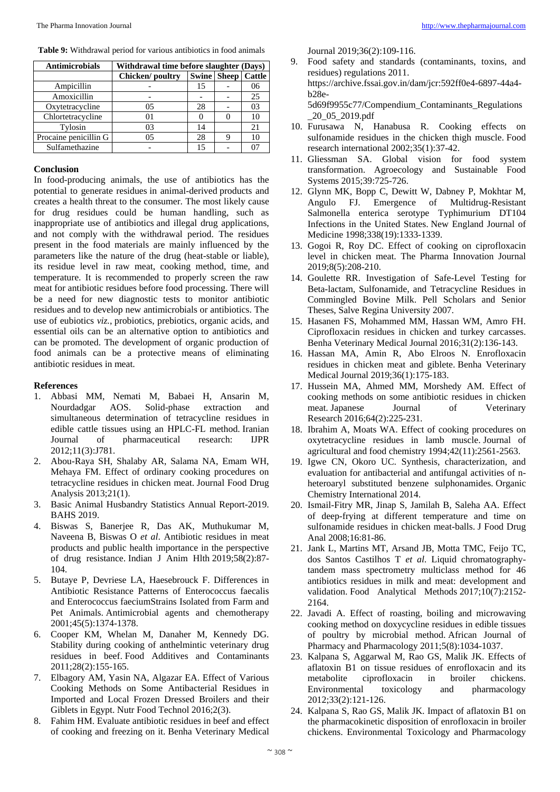| <b>Antimicrobials</b> | Withdrawal time before slaughter (Days) |    |                               |    |
|-----------------------|-----------------------------------------|----|-------------------------------|----|
|                       | Chicken/poultry                         |    | <b>Swine   Sheep   Cattle</b> |    |
| Ampicillin            |                                         | 15 |                               | 06 |
| Amoxicillin           |                                         |    |                               | 25 |
| Oxytetracycline       | 05                                      | 28 |                               | 03 |
| Chlortetracycline     |                                         |    |                               | 10 |
| Tylosin               | 03                                      | 14 |                               | 21 |
| Procaine penicillin G | 05                                      | 28 |                               | 10 |
| Sulfamethazine        |                                         | 15 |                               |    |

**Table 9:** Withdrawal period for various antibiotics in food animals

### **Conclusion**

In food-producing animals, the use of antibiotics has the potential to generate residues in animal-derived products and creates a health threat to the consumer. The most likely cause for drug residues could be human handling, such as inappropriate use of antibiotics and illegal drug applications, and not comply with the withdrawal period. The residues present in the food materials are mainly influenced by the parameters like the nature of the drug (heat-stable or liable), its residue level in raw meat, cooking method, time, and temperature. It is recommended to properly screen the raw meat for antibiotic residues before food processing. There will be a need for new diagnostic tests to monitor antibiotic residues and to develop new antimicrobials or antibiotics. The use of eubiotics *viz.*, probiotics, prebiotics, organic acids, and essential oils can be an alternative option to antibiotics and can be promoted. The development of organic production of food animals can be a protective means of eliminating antibiotic residues in meat.

# **References**

- 1. Abbasi MM, Nemati M, Babaei H, Ansarin M, Nourdadgar AOS. Solid-phase extraction and simultaneous determination of tetracycline residues in edible cattle tissues using an HPLC-FL method. Iranian Journal of pharmaceutical research: IJPR 2012;11(3):J781.
- 2. Abou-Raya SH, Shalaby AR, Salama NA, Emam WH, Mehaya FM. Effect of ordinary cooking procedures on tetracycline residues in chicken meat. Journal Food Drug Analysis 2013;21(1).
- 3. Basic Animal Husbandry Statistics Annual Report-2019. BAHS 2019.
- 4. Biswas S, Banerjee R, Das AK, Muthukumar M, Naveena B, Biswas O *et al*. Antibiotic residues in meat products and public health importance in the perspective of drug resistance. Indian J Anim Hlth 2019;58(2):87- 104.
- 5. Butaye P, Devriese LA, Haesebrouck F. Differences in Antibiotic Resistance Patterns of Enterococcus faecalis and Enterococcus faeciumStrains Isolated from Farm and Pet Animals. Antimicrobial agents and chemotherapy 2001;45(5):1374-1378.
- 6. Cooper KM, Whelan M, Danaher M, Kennedy DG. Stability during cooking of anthelmintic veterinary drug residues in beef. Food Additives and Contaminants 2011;28(2):155-165.
- 7. Elbagory AM, Yasin NA, Algazar EA. Effect of Various Cooking Methods on Some Antibacterial Residues in Imported and Local Frozen Dressed Broilers and their Giblets in Egypt. Nutr Food Technol 2016;2(3).
- 8. Fahim HM. Evaluate antibiotic residues in beef and effect of cooking and freezing on it. Benha Veterinary Medical

Journal 2019;36(2):109-116.

- 9. Food safety and standards (contaminants, toxins, and residues) regulations 2011. https://archive.fssai.gov.in/dam/jcr:592ff0e4-6897-44a4 b28e-5d69f9955c77/Compendium\_Contaminants\_Regulations \_20\_05\_2019.pdf
- 10. Furusawa N, Hanabusa R. Cooking effects on sulfonamide residues in the chicken thigh muscle. Food research international 2002;35(1):37-42.
- 11. Gliessman SA. Global vision for food system transformation. Agroecology and Sustainable Food Systems 2015;39:725-726.
- 12. Glynn MK, Bopp C, Dewitt W, Dabney P, Mokhtar M, Angulo FJ. Emergence of Multidrug-Resistant Salmonella enterica serotype Typhimurium DT104 Infections in the United States. New England Journal of Medicine 1998;338(19):1333-1339.
- 13. Gogoi R, Roy DC. Effect of cooking on ciprofloxacin level in chicken meat. The Pharma Innovation Journal 2019;8(5):208-210.
- 14. Goulette RR. Investigation of Safe-Level Testing for Beta-lactam, Sulfonamide, and Tetracycline Residues in Commingled Bovine Milk. Pell Scholars and Senior Theses, Salve Regina University 2007.
- 15. Hasanen FS, Mohammed MM, Hassan WM, Amro FH. Ciprofloxacin residues in chicken and turkey carcasses. Benha Veterinary Medical Journal 2016;31(2):136-143.
- 16. Hassan MA, Amin R, Abo Elroos N. Enrofloxacin residues in chicken meat and giblete. Benha Veterinary Medical Journal 2019;36(1):175-183.
- 17. Hussein MA, Ahmed MM, Morshedy AM. Effect of cooking methods on some antibiotic residues in chicken meat. Japanese Journal of Veterinary Research 2016;64(2):225-231.
- 18. Ibrahim A, Moats WA. Effect of cooking procedures on oxytetracycline residues in lamb muscle. Journal of agricultural and food chemistry 1994;42(11):2561-2563.
- 19. Igwe CN, Okoro UC. Synthesis, characterization, and evaluation for antibacterial and antifungal activities of nheteroaryl substituted benzene sulphonamides. Organic Chemistry International 2014.
- 20. Ismail-Fitry MR, Jinap S, Jamilah B, Saleha AA. Effect of deep-frying at different temperature and time on sulfonamide residues in chicken meat-balls. J Food Drug Anal 2008;16:81-86.
- 21. Jank L, Martins MT, Arsand JB, Motta TMC, Feijo TC, dos Santos Castilhos T *et al*. Liquid chromatographytandem mass spectrometry multiclass method for 46 antibiotics residues in milk and meat: development and validation. Food Analytical Methods 2017;10(7):2152- 2164.
- 22. Javadi A. Effect of roasting, boiling and microwaving cooking method on doxycycline residues in edible tissues of poultry by microbial method. African Journal of Pharmacy and Pharmacology 2011;5(8):1034-1037.
- 23. Kalpana S, Aggarwal M, Rao GS, Malik JK. Effects of aflatoxin B1 on tissue residues of enrofloxacin and its metabolite ciprofloxacin in broiler chickens. Environmental toxicology and pharmacology 2012;33(2):121-126.
- 24. Kalpana S, Rao GS, Malik JK. Impact of aflatoxin B1 on the pharmacokinetic disposition of enrofloxacin in broiler chickens. Environmental Toxicology and Pharmacology